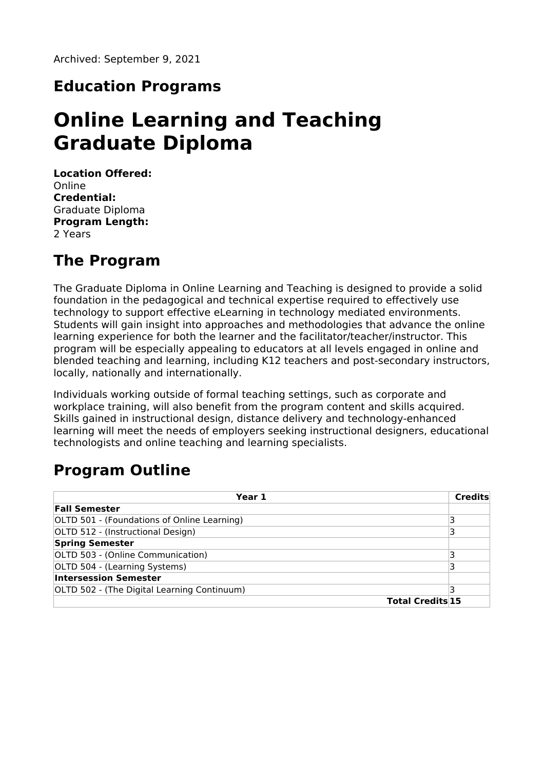### **Education Programs**

# **Online Learning and Teaching Graduate Diploma**

**Location Offered:** Online **Credential:** Graduate Diploma **Program Length:** 2 Years

### **The Program**

The Graduate Diploma in Online Learning and Teaching is designed to provide a solid foundation in the pedagogical and technical expertise required to effectively use technology to support effective eLearning in technology mediated environments. Students will gain insight into approaches and methodologies that advance the online learning experience for both the learner and the facilitator/teacher/instructor. This program will be especially appealing to educators at all levels engaged in online and blended teaching and learning, including K12 teachers and post-secondary instructors, locally, nationally and internationally.

Individuals working outside of formal teaching settings, such as corporate and workplace training, will also benefit from the program content and skills acquired. Skills gained in instructional design, distance delivery and technology-enhanced learning will meet the needs of employers seeking instructional designers, educational technologists and online teaching and learning specialists.

# **Program Outline**

| Year 1                                      |                         | Credits |
|---------------------------------------------|-------------------------|---------|
| <b>Fall Semester</b>                        |                         |         |
| OLTD 501 - (Foundations of Online Learning) |                         |         |
| OLTD 512 - (Instructional Design)           |                         |         |
| <b>Spring Semester</b>                      |                         |         |
| OLTD 503 - (Online Communication)           |                         |         |
| OLTD 504 - (Learning Systems)               |                         |         |
| <b>Intersession Semester</b>                |                         |         |
| OLTD 502 - (The Digital Learning Continuum) |                         |         |
|                                             | <b>Total Credits 15</b> |         |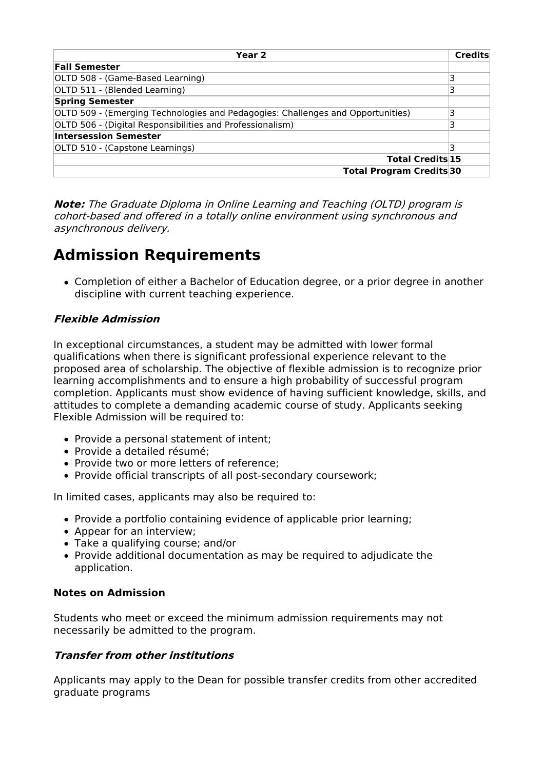| Year 2                                                                          | <b>Credits</b> |
|---------------------------------------------------------------------------------|----------------|
| <b>Fall Semester</b>                                                            |                |
| OLTD 508 - (Game-Based Learning)                                                |                |
| OLTD 511 - (Blended Learning)                                                   |                |
| <b>Spring Semester</b>                                                          |                |
| OLTD 509 - (Emerging Technologies and Pedagogies: Challenges and Opportunities) |                |
| OLTD 506 - (Digital Responsibilities and Professionalism)                       |                |
| <b>Intersession Semester</b>                                                    |                |
| OLTD 510 - (Capstone Learnings)                                                 |                |
| <b>Total Credits 15</b>                                                         |                |
| <b>Total Program Credits 30</b>                                                 |                |

**Note:** The Graduate Diploma in Online Learning and Teaching (OLTD) program is cohort-based and offered in <sup>a</sup> totally online environment using synchronous and asynchronous delivery.

## **Admission Requirements**

Completion of either a Bachelor of Education degree, or a prior degree in another discipline with current teaching experience.

#### **Flexible Admission**

In exceptional circumstances, a student may be admitted with lower formal qualifications when there is significant professional experience relevant to the proposed area of scholarship. The objective of flexible admission is to recognize prior learning accomplishments and to ensure a high probability of successful program completion. Applicants must show evidence of having sufficient knowledge, skills, and attitudes to complete a demanding academic course of study. Applicants seeking Flexible Admission will be required to:

- Provide a personal statement of intent;
- Provide a detailed résumé:
- Provide two or more letters of reference;
- Provide official transcripts of all post-secondary coursework;

In limited cases, applicants may also be required to:

- Provide a portfolio containing evidence of applicable prior learning;
- Appear for an interview;
- Take a qualifying course; and/or
- Provide additional documentation as may be required to adjudicate the application.

#### **Notes on Admission**

Students who meet or exceed the minimum admission requirements may not necessarily be admitted to the program.

#### **Transfer from other institutions**

Applicants may apply to the Dean for possible transfer credits from other accredited graduate programs